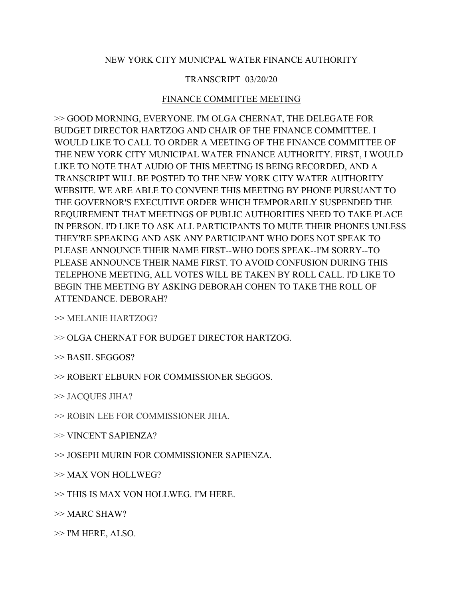## NEW YORK CITY MUNICPAL WATER FINANCE AUTHORITY

## TRANSCRIPT 03/20/20

## FINANCE COMMITTEE MEETING

>> GOOD MORNING, EVERYONE. I'M OLGA CHERNAT, THE DELEGATE FOR BUDGET DIRECTOR HARTZOG AND CHAIR OF THE FINANCE COMMITTEE. I WOULD LIKE TO CALL TO ORDER A MEETING OF THE FINANCE COMMITTEE OF THE NEW YORK CITY MUNICIPAL WATER FINANCE AUTHORITY. FIRST, I WOULD LIKE TO NOTE THAT AUDIO OF THIS MEETING IS BEING RECORDED, AND A TRANSCRIPT WILL BE POSTED TO THE NEW YORK CITY WATER AUTHORITY WEBSITE. WE ARE ABLE TO CONVENE THIS MEETING BY PHONE PURSUANT TO THE GOVERNOR'S EXECUTIVE ORDER WHICH TEMPORARILY SUSPENDED THE REQUIREMENT THAT MEETINGS OF PUBLIC AUTHORITIES NEED TO TAKE PLACE IN PERSON. I'D LIKE TO ASK ALL PARTICIPANTS TO MUTE THEIR PHONES UNLESS THEY'RE SPEAKING AND ASK ANY PARTICIPANT WHO DOES NOT SPEAK TO PLEASE ANNOUNCE THEIR NAME FIRST--WHO DOES SPEAK--I'M SORRY--TO PLEASE ANNOUNCE THEIR NAME FIRST. TO AVOID CONFUSION DURING THIS TELEPHONE MEETING, ALL VOTES WILL BE TAKEN BY ROLL CALL. I'D LIKE TO BEGIN THE MEETING BY ASKING DEBORAH COHEN TO TAKE THE ROLL OF ATTENDANCE. DEBORAH?

>> MELANIE HARTZOG?

>> OLGA CHERNAT FOR BUDGET DIRECTOR HARTZOG.

>> BASIL SEGGOS?

>> ROBERT ELBURN FOR COMMISSIONER SEGGOS.

>> JACQUES JIHA?

>> ROBIN LEE FOR COMMISSIONER JIHA.

>> VINCENT SAPIENZA?

>> JOSEPH MURIN FOR COMMISSIONER SAPIENZA.

>> MAX VON HOLLWEG?

>> THIS IS MAX VON HOLLWEG. I'M HERE.

 $>>$  MARC SHAW?

>> I'M HERE, ALSO.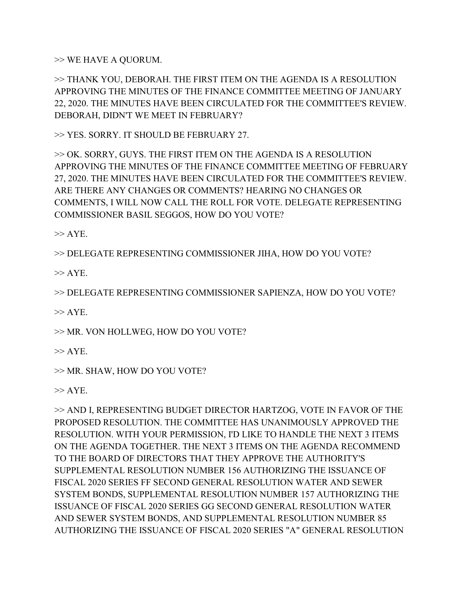>> WE HAVE A QUORUM.

>> THANK YOU, DEBORAH. THE FIRST ITEM ON THE AGENDA IS A RESOLUTION APPROVING THE MINUTES OF THE FINANCE COMMITTEE MEETING OF JANUARY 22, 2020. THE MINUTES HAVE BEEN CIRCULATED FOR THE COMMITTEE'S REVIEW. DEBORAH, DIDN'T WE MEET IN FEBRUARY?

>> YES. SORRY. IT SHOULD BE FEBRUARY 27.

>> OK. SORRY, GUYS. THE FIRST ITEM ON THE AGENDA IS A RESOLUTION APPROVING THE MINUTES OF THE FINANCE COMMITTEE MEETING OF FEBRUARY 27, 2020. THE MINUTES HAVE BEEN CIRCULATED FOR THE COMMITTEE'S REVIEW. ARE THERE ANY CHANGES OR COMMENTS? HEARING NO CHANGES OR COMMENTS, I WILL NOW CALL THE ROLL FOR VOTE. DELEGATE REPRESENTING COMMISSIONER BASIL SEGGOS, HOW DO YOU VOTE?

 $\gg$  AYE.

>> DELEGATE REPRESENTING COMMISSIONER JIHA, HOW DO YOU VOTE?

 $>>$  AYE.

>> DELEGATE REPRESENTING COMMISSIONER SAPIENZA, HOW DO YOU VOTE?

 $>>$  AYE.

>> MR. VON HOLLWEG, HOW DO YOU VOTE?

 $\gg$  AYE.

>> MR. SHAW, HOW DO YOU VOTE?

 $>>$  AYE.

>> AND I, REPRESENTING BUDGET DIRECTOR HARTZOG, VOTE IN FAVOR OF THE PROPOSED RESOLUTION. THE COMMITTEE HAS UNANIMOUSLY APPROVED THE RESOLUTION. WITH YOUR PERMISSION, I'D LIKE TO HANDLE THE NEXT 3 ITEMS ON THE AGENDA TOGETHER. THE NEXT 3 ITEMS ON THE AGENDA RECOMMEND TO THE BOARD OF DIRECTORS THAT THEY APPROVE THE AUTHORITY'S SUPPLEMENTAL RESOLUTION NUMBER 156 AUTHORIZING THE ISSUANCE OF FISCAL 2020 SERIES FF SECOND GENERAL RESOLUTION WATER AND SEWER SYSTEM BONDS, SUPPLEMENTAL RESOLUTION NUMBER 157 AUTHORIZING THE ISSUANCE OF FISCAL 2020 SERIES GG SECOND GENERAL RESOLUTION WATER AND SEWER SYSTEM BONDS, AND SUPPLEMENTAL RESOLUTION NUMBER 85 AUTHORIZING THE ISSUANCE OF FISCAL 2020 SERIES "A" GENERAL RESOLUTION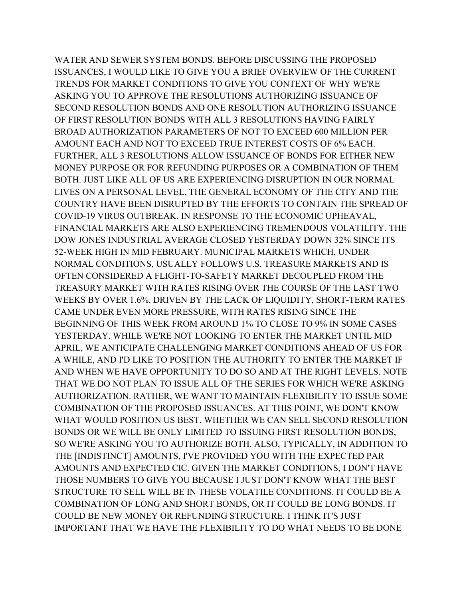WATER AND SEWER SYSTEM BONDS. BEFORE DISCUSSING THE PROPOSED ISSUANCES, I WOULD LIKE TO GIVE YOU A BRIEF OVERVIEW OF THE CURRENT TRENDS FOR MARKET CONDITIONS TO GIVE YOU CONTEXT OF WHY WE'RE ASKING YOU TO APPROVE THE RESOLUTIONS AUTHORIZING ISSUANCE OF SECOND RESOLUTION BONDS AND ONE RESOLUTION AUTHORIZING ISSUANCE OF FIRST RESOLUTION BONDS WITH ALL 3 RESOLUTIONS HAVING FAIRLY BROAD AUTHORIZATION PARAMETERS OF NOT TO EXCEED 600 MILLION PER AMOUNT EACH AND NOT TO EXCEED TRUE INTEREST COSTS OF 6% EACH. FURTHER, ALL 3 RESOLUTIONS ALLOW ISSUANCE OF BONDS FOR EITHER NEW MONEY PURPOSE OR FOR REFUNDING PURPOSES OR A COMBINATION OF THEM BOTH. JUST LIKE ALL OF US ARE EXPERIENCING DISRUPTION IN OUR NORMAL LIVES ON A PERSONAL LEVEL, THE GENERAL ECONOMY OF THE CITY AND THE COUNTRY HAVE BEEN DISRUPTED BY THE EFFORTS TO CONTAIN THE SPREAD OF COVID-19 VIRUS OUTBREAK. IN RESPONSE TO THE ECONOMIC UPHEAVAL, FINANCIAL MARKETS ARE ALSO EXPERIENCING TREMENDOUS VOLATILITY. THE DOW JONES INDUSTRIAL AVERAGE CLOSED YESTERDAY DOWN 32% SINCE ITS 52-WEEK HIGH IN MID FEBRUARY. MUNICIPAL MARKETS WHICH, UNDER NORMAL CONDITIONS, USUALLY FOLLOWS U.S. TREASURE MARKETS AND IS OFTEN CONSIDERED A FLIGHT-TO-SAFETY MARKET DECOUPLED FROM THE TREASURY MARKET WITH RATES RISING OVER THE COURSE OF THE LAST TWO WEEKS BY OVER 1.6%. DRIVEN BY THE LACK OF LIQUIDITY, SHORT-TERM RATES CAME UNDER EVEN MORE PRESSURE, WITH RATES RISING SINCE THE BEGINNING OF THIS WEEK FROM AROUND 1% TO CLOSE TO 9% IN SOME CASES YESTERDAY. WHILE WE'RE NOT LOOKING TO ENTER THE MARKET UNTIL MID APRIL, WE ANTICIPATE CHALLENGING MARKET CONDITIONS AHEAD OF US FOR A WHILE, AND I'D LIKE TO POSITION THE AUTHORITY TO ENTER THE MARKET IF AND WHEN WE HAVE OPPORTUNITY TO DO SO AND AT THE RIGHT LEVELS. NOTE THAT WE DO NOT PLAN TO ISSUE ALL OF THE SERIES FOR WHICH WE'RE ASKING AUTHORIZATION. RATHER, WE WANT TO MAINTAIN FLEXIBILITY TO ISSUE SOME COMBINATION OF THE PROPOSED ISSUANCES. AT THIS POINT, WE DON'T KNOW WHAT WOULD POSITION US BEST, WHETHER WE CAN SELL SECOND RESOLUTION BONDS OR WE WILL BE ONLY LIMITED TO ISSUING FIRST RESOLUTION BONDS, SO WE'RE ASKING YOU TO AUTHORIZE BOTH. ALSO, TYPICALLY, IN ADDITION TO THE [INDISTINCT] AMOUNTS, I'VE PROVIDED YOU WITH THE EXPECTED PAR AMOUNTS AND EXPECTED CIC. GIVEN THE MARKET CONDITIONS, I DON'T HAVE THOSE NUMBERS TO GIVE YOU BECAUSE I JUST DON'T KNOW WHAT THE BEST STRUCTURE TO SELL WILL BE IN THESE VOLATILE CONDITIONS. IT COULD BE A COMBINATION OF LONG AND SHORT BONDS, OR IT COULD BE LONG BONDS. IT COULD BE NEW MONEY OR REFUNDING STRUCTURE. I THINK IT'S JUST IMPORTANT THAT WE HAVE THE FLEXIBILITY TO DO WHAT NEEDS TO BE DONE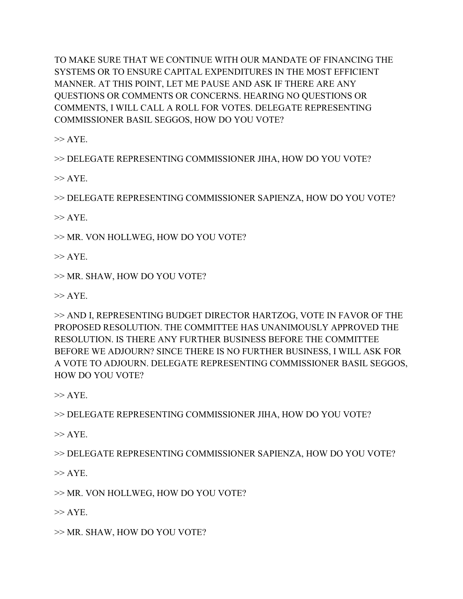TO MAKE SURE THAT WE CONTINUE WITH OUR MANDATE OF FINANCING THE SYSTEMS OR TO ENSURE CAPITAL EXPENDITURES IN THE MOST EFFICIENT MANNER. AT THIS POINT, LET ME PAUSE AND ASK IF THERE ARE ANY QUESTIONS OR COMMENTS OR CONCERNS. HEARING NO QUESTIONS OR COMMENTS, I WILL CALL A ROLL FOR VOTES. DELEGATE REPRESENTING COMMISSIONER BASIL SEGGOS, HOW DO YOU VOTE?

 $\gg$  AYE.

>> DELEGATE REPRESENTING COMMISSIONER JIHA, HOW DO YOU VOTE?

 $>>$  AYE.

>> DELEGATE REPRESENTING COMMISSIONER SAPIENZA, HOW DO YOU VOTE?

 $>>$  AYE.

>> MR. VON HOLLWEG, HOW DO YOU VOTE?

 $>>$  AYE.

>> MR. SHAW, HOW DO YOU VOTE?

 $>>$  AYE.

>> AND I, REPRESENTING BUDGET DIRECTOR HARTZOG, VOTE IN FAVOR OF THE PROPOSED RESOLUTION. THE COMMITTEE HAS UNANIMOUSLY APPROVED THE RESOLUTION. IS THERE ANY FURTHER BUSINESS BEFORE THE COMMITTEE BEFORE WE ADJOURN? SINCE THERE IS NO FURTHER BUSINESS, I WILL ASK FOR A VOTE TO ADJOURN. DELEGATE REPRESENTING COMMISSIONER BASIL SEGGOS, HOW DO YOU VOTE?

 $>>$  AYE.

>> DELEGATE REPRESENTING COMMISSIONER JIHA, HOW DO YOU VOTE?

 $>>$  AYE.

>> DELEGATE REPRESENTING COMMISSIONER SAPIENZA, HOW DO YOU VOTE?

 $>>$  AYE.

>> MR. VON HOLLWEG, HOW DO YOU VOTE?

 $>>$  AYE.

>> MR. SHAW, HOW DO YOU VOTE?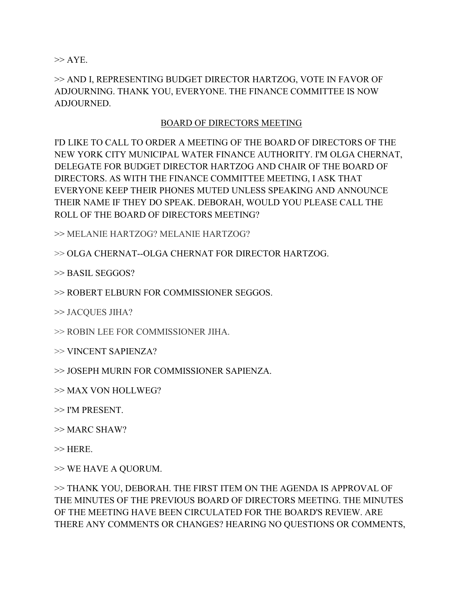$\gg$  AYE.

>> AND I, REPRESENTING BUDGET DIRECTOR HARTZOG, VOTE IN FAVOR OF ADJOURNING. THANK YOU, EVERYONE. THE FINANCE COMMITTEE IS NOW ADJOURNED.

## BOARD OF DIRECTORS MEETING

I'D LIKE TO CALL TO ORDER A MEETING OF THE BOARD OF DIRECTORS OF THE NEW YORK CITY MUNICIPAL WATER FINANCE AUTHORITY. I'M OLGA CHERNAT, DELEGATE FOR BUDGET DIRECTOR HARTZOG AND CHAIR OF THE BOARD OF DIRECTORS. AS WITH THE FINANCE COMMITTEE MEETING, I ASK THAT EVERYONE KEEP THEIR PHONES MUTED UNLESS SPEAKING AND ANNOUNCE THEIR NAME IF THEY DO SPEAK. DEBORAH, WOULD YOU PLEASE CALL THE ROLL OF THE BOARD OF DIRECTORS MEETING?

>> MELANIE HARTZOG? MELANIE HARTZOG?

>> OLGA CHERNAT--OLGA CHERNAT FOR DIRECTOR HARTZOG.

>> BASIL SEGGOS?

>> ROBERT ELBURN FOR COMMISSIONER SEGGOS.

>> JACQUES JIHA?

>> ROBIN LEE FOR COMMISSIONER JIHA.

>> VINCENT SAPIENZA?

>> JOSEPH MURIN FOR COMMISSIONER SAPIENZA.

>> MAX VON HOLLWEG?

>> I'M PRESENT.

 $\gg$  MARC SHAW?

 $\gg$  HERE.

>> WE HAVE A QUORUM.

>> THANK YOU, DEBORAH. THE FIRST ITEM ON THE AGENDA IS APPROVAL OF THE MINUTES OF THE PREVIOUS BOARD OF DIRECTORS MEETING. THE MINUTES OF THE MEETING HAVE BEEN CIRCULATED FOR THE BOARD'S REVIEW. ARE THERE ANY COMMENTS OR CHANGES? HEARING NO QUESTIONS OR COMMENTS,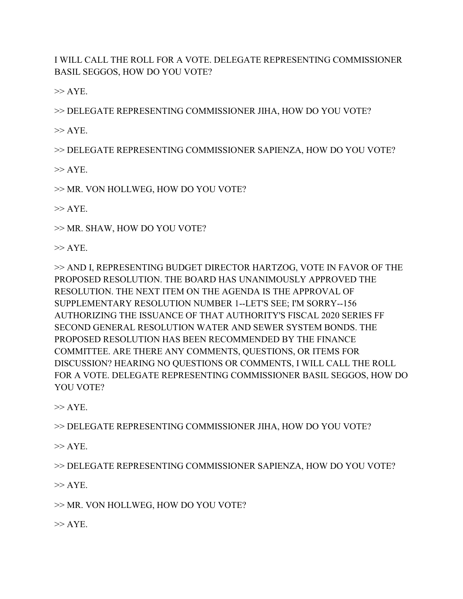I WILL CALL THE ROLL FOR A VOTE. DELEGATE REPRESENTING COMMISSIONER BASIL SEGGOS, HOW DO YOU VOTE?

 $>>$  AYE.

>> DELEGATE REPRESENTING COMMISSIONER JIHA, HOW DO YOU VOTE?

 $>>$  AYE.

>> DELEGATE REPRESENTING COMMISSIONER SAPIENZA, HOW DO YOU VOTE?

 $\gg$  AYE.

>> MR. VON HOLLWEG, HOW DO YOU VOTE?

 $\gg$  AYE.

>> MR. SHAW, HOW DO YOU VOTE?

 $>>$  AYE.

>> AND I, REPRESENTING BUDGET DIRECTOR HARTZOG, VOTE IN FAVOR OF THE PROPOSED RESOLUTION. THE BOARD HAS UNANIMOUSLY APPROVED THE RESOLUTION. THE NEXT ITEM ON THE AGENDA IS THE APPROVAL OF SUPPLEMENTARY RESOLUTION NUMBER 1--LET'S SEE; I'M SORRY--156 AUTHORIZING THE ISSUANCE OF THAT AUTHORITY'S FISCAL 2020 SERIES FF SECOND GENERAL RESOLUTION WATER AND SEWER SYSTEM BONDS. THE PROPOSED RESOLUTION HAS BEEN RECOMMENDED BY THE FINANCE COMMITTEE. ARE THERE ANY COMMENTS, QUESTIONS, OR ITEMS FOR DISCUSSION? HEARING NO QUESTIONS OR COMMENTS, I WILL CALL THE ROLL FOR A VOTE. DELEGATE REPRESENTING COMMISSIONER BASIL SEGGOS, HOW DO YOU VOTE?

 $>>$  AYE.

>> DELEGATE REPRESENTING COMMISSIONER JIHA, HOW DO YOU VOTE?

 $>>$  AYE.

>> DELEGATE REPRESENTING COMMISSIONER SAPIENZA, HOW DO YOU VOTE?

 $>>$  AYE.

>> MR. VON HOLLWEG, HOW DO YOU VOTE?

 $>>$  AYE.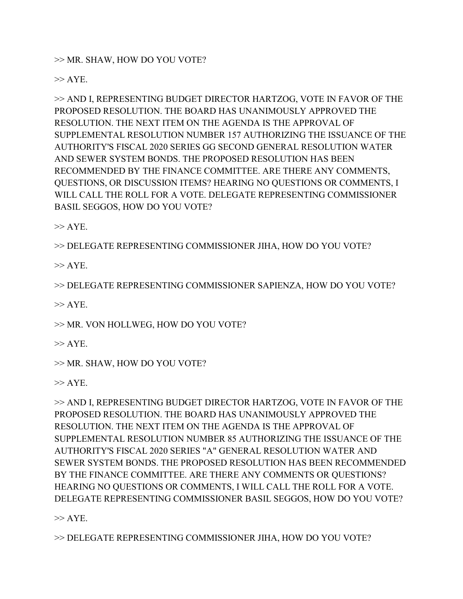>> MR. SHAW, HOW DO YOU VOTE?

 $\gg$  AYE.

>> AND I, REPRESENTING BUDGET DIRECTOR HARTZOG, VOTE IN FAVOR OF THE PROPOSED RESOLUTION. THE BOARD HAS UNANIMOUSLY APPROVED THE RESOLUTION. THE NEXT ITEM ON THE AGENDA IS THE APPROVAL OF SUPPLEMENTAL RESOLUTION NUMBER 157 AUTHORIZING THE ISSUANCE OF THE AUTHORITY'S FISCAL 2020 SERIES GG SECOND GENERAL RESOLUTION WATER AND SEWER SYSTEM BONDS. THE PROPOSED RESOLUTION HAS BEEN RECOMMENDED BY THE FINANCE COMMITTEE. ARE THERE ANY COMMENTS, QUESTIONS, OR DISCUSSION ITEMS? HEARING NO QUESTIONS OR COMMENTS, I WILL CALL THE ROLL FOR A VOTE. DELEGATE REPRESENTING COMMISSIONER BASIL SEGGOS, HOW DO YOU VOTE?

 $>>$  AYE.

>> DELEGATE REPRESENTING COMMISSIONER JIHA, HOW DO YOU VOTE?

 $>>$  AYE.

>> DELEGATE REPRESENTING COMMISSIONER SAPIENZA, HOW DO YOU VOTE?

 $>>$  AYE.

>> MR. VON HOLLWEG, HOW DO YOU VOTE?

 $>>$  AYE.

>> MR. SHAW, HOW DO YOU VOTE?

 $>>$  AYE.

>> AND I, REPRESENTING BUDGET DIRECTOR HARTZOG, VOTE IN FAVOR OF THE PROPOSED RESOLUTION. THE BOARD HAS UNANIMOUSLY APPROVED THE RESOLUTION. THE NEXT ITEM ON THE AGENDA IS THE APPROVAL OF SUPPLEMENTAL RESOLUTION NUMBER 85 AUTHORIZING THE ISSUANCE OF THE AUTHORITY'S FISCAL 2020 SERIES "A" GENERAL RESOLUTION WATER AND SEWER SYSTEM BONDS. THE PROPOSED RESOLUTION HAS BEEN RECOMMENDED BY THE FINANCE COMMITTEE. ARE THERE ANY COMMENTS OR QUESTIONS? HEARING NO QUESTIONS OR COMMENTS, I WILL CALL THE ROLL FOR A VOTE. DELEGATE REPRESENTING COMMISSIONER BASIL SEGGOS, HOW DO YOU VOTE?

 $>>$  AYE.

>> DELEGATE REPRESENTING COMMISSIONER JIHA, HOW DO YOU VOTE?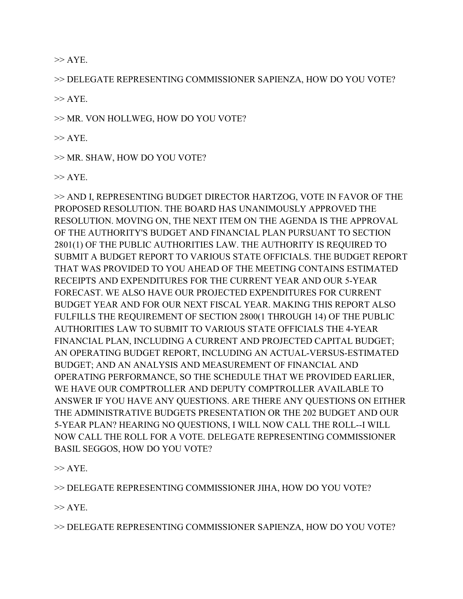$\gg$  AYE.

>> DELEGATE REPRESENTING COMMISSIONER SAPIENZA, HOW DO YOU VOTE?

 $>>$  AYE.

>> MR. VON HOLLWEG, HOW DO YOU VOTE?

 $\gg$  AYE.

>> MR. SHAW, HOW DO YOU VOTE?

 $>>$  AYE.

>> AND I, REPRESENTING BUDGET DIRECTOR HARTZOG, VOTE IN FAVOR OF THE PROPOSED RESOLUTION. THE BOARD HAS UNANIMOUSLY APPROVED THE RESOLUTION. MOVING ON, THE NEXT ITEM ON THE AGENDA IS THE APPROVAL OF THE AUTHORITY'S BUDGET AND FINANCIAL PLAN PURSUANT TO SECTION 2801(1) OF THE PUBLIC AUTHORITIES LAW. THE AUTHORITY IS REQUIRED TO SUBMIT A BUDGET REPORT TO VARIOUS STATE OFFICIALS. THE BUDGET REPORT THAT WAS PROVIDED TO YOU AHEAD OF THE MEETING CONTAINS ESTIMATED RECEIPTS AND EXPENDITURES FOR THE CURRENT YEAR AND OUR 5-YEAR FORECAST. WE ALSO HAVE OUR PROJECTED EXPENDITURES FOR CURRENT BUDGET YEAR AND FOR OUR NEXT FISCAL YEAR. MAKING THIS REPORT ALSO FULFILLS THE REQUIREMENT OF SECTION 2800(1 THROUGH 14) OF THE PUBLIC AUTHORITIES LAW TO SUBMIT TO VARIOUS STATE OFFICIALS THE 4-YEAR FINANCIAL PLAN, INCLUDING A CURRENT AND PROJECTED CAPITAL BUDGET; AN OPERATING BUDGET REPORT, INCLUDING AN ACTUAL-VERSUS-ESTIMATED BUDGET; AND AN ANALYSIS AND MEASUREMENT OF FINANCIAL AND OPERATING PERFORMANCE, SO THE SCHEDULE THAT WE PROVIDED EARLIER, WE HAVE OUR COMPTROLLER AND DEPUTY COMPTROLLER AVAILABLE TO ANSWER IF YOU HAVE ANY QUESTIONS. ARE THERE ANY QUESTIONS ON EITHER THE ADMINISTRATIVE BUDGETS PRESENTATION OR THE 202 BUDGET AND OUR 5-YEAR PLAN? HEARING NO QUESTIONS, I WILL NOW CALL THE ROLL--I WILL NOW CALL THE ROLL FOR A VOTE. DELEGATE REPRESENTING COMMISSIONER BASIL SEGGOS, HOW DO YOU VOTE?

 $>>$  AYE.

>> DELEGATE REPRESENTING COMMISSIONER JIHA, HOW DO YOU VOTE?

 $>>$  AYE.

>> DELEGATE REPRESENTING COMMISSIONER SAPIENZA, HOW DO YOU VOTE?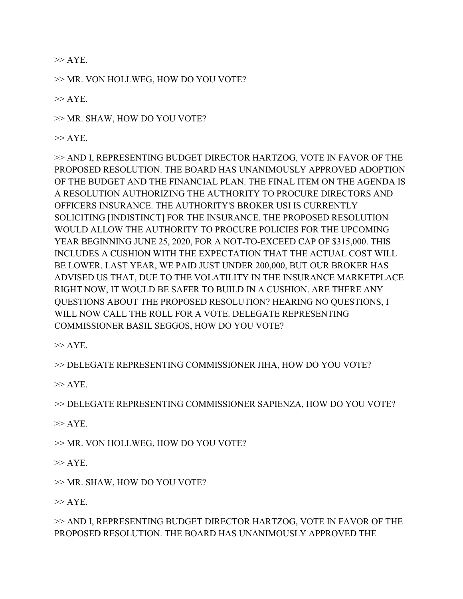$\gg$  AYE.

>> MR. VON HOLLWEG, HOW DO YOU VOTE?

 $>>$  AYE.

>> MR. SHAW, HOW DO YOU VOTE?

 $\gg$  AYE.

>> AND I, REPRESENTING BUDGET DIRECTOR HARTZOG, VOTE IN FAVOR OF THE PROPOSED RESOLUTION. THE BOARD HAS UNANIMOUSLY APPROVED ADOPTION OF THE BUDGET AND THE FINANCIAL PLAN. THE FINAL ITEM ON THE AGENDA IS A RESOLUTION AUTHORIZING THE AUTHORITY TO PROCURE DIRECTORS AND OFFICERS INSURANCE. THE AUTHORITY'S BROKER USI IS CURRENTLY SOLICITING [INDISTINCT] FOR THE INSURANCE. THE PROPOSED RESOLUTION WOULD ALLOW THE AUTHORITY TO PROCURE POLICIES FOR THE UPCOMING YEAR BEGINNING JUNE 25, 2020, FOR A NOT-TO-EXCEED CAP OF \$315,000. THIS INCLUDES A CUSHION WITH THE EXPECTATION THAT THE ACTUAL COST WILL BE LOWER. LAST YEAR, WE PAID JUST UNDER 200,000, BUT OUR BROKER HAS ADVISED US THAT, DUE TO THE VOLATILITY IN THE INSURANCE MARKETPLACE RIGHT NOW, IT WOULD BE SAFER TO BUILD IN A CUSHION. ARE THERE ANY QUESTIONS ABOUT THE PROPOSED RESOLUTION? HEARING NO QUESTIONS, I WILL NOW CALL THE ROLL FOR A VOTE. DELEGATE REPRESENTING COMMISSIONER BASIL SEGGOS, HOW DO YOU VOTE?

 $\gg$  AYE.

>> DELEGATE REPRESENTING COMMISSIONER JIHA, HOW DO YOU VOTE?

 $>>$  AYE.

>> DELEGATE REPRESENTING COMMISSIONER SAPIENZA, HOW DO YOU VOTE?

 $\gg$  AYE.

>> MR. VON HOLLWEG, HOW DO YOU VOTE?

 $>>$  AYE.

>> MR. SHAW, HOW DO YOU VOTE?

 $\gg$  AYE.

>> AND I, REPRESENTING BUDGET DIRECTOR HARTZOG, VOTE IN FAVOR OF THE PROPOSED RESOLUTION. THE BOARD HAS UNANIMOUSLY APPROVED THE